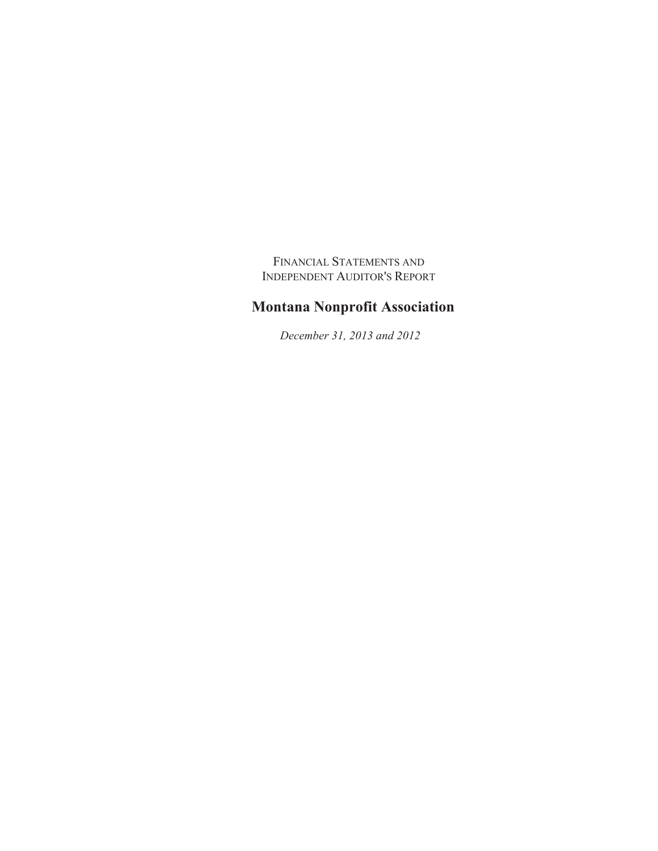FINANCIAL STATEMENTS AND INDEPENDENT AUDITOR'S REPORT

# **Montana Nonprofit Association**

 *December 31, 2013 and 2012*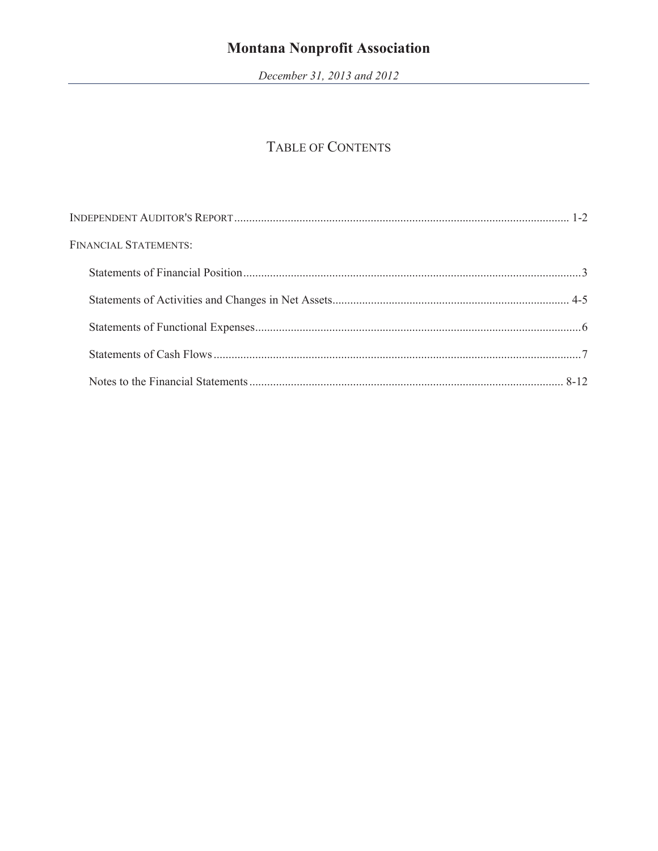December 31, 2013 and 2012

# TABLE OF CONTENTS

| <b>FINANCIAL STATEMENTS:</b> |  |
|------------------------------|--|
|                              |  |
|                              |  |
|                              |  |
|                              |  |
|                              |  |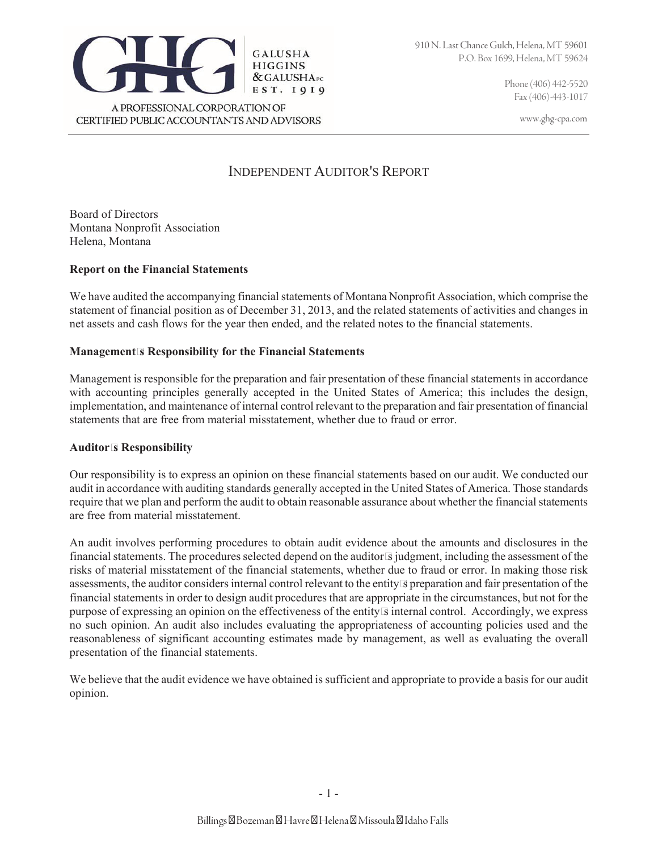Fax (406)-443-1017

www.ghg-cpa.com



## INDEPENDENT AUDITOR'S REPORT

Board of Directors Montana Nonprofit Association Helena, Montana

### **Report on the Financial Statements**

We have audited the accompanying financial statements of Montana Nonprofit Association, which comprise the statement of financial position as of December 31, 2013, and the related statements of activities and changes in net assets and cash flows for the year then ended, and the related notes to the financial statements.

### **Management's Responsibility for the Financial Statements**

Management is responsible for the preparation and fair presentation of these financial statements in accordance with accounting principles generally accepted in the United States of America; this includes the design, implementation, and maintenance of internal control relevant to the preparation and fair presentation of financial statements that are free from material misstatement, whether due to fraud or error.

#### **Auditor's Responsibility**

Our responsibility is to express an opinion on these financial statements based on our audit. We conducted our audit in accordance with auditing standards generally accepted in the United States of America. Those standards require that we plan and perform the audit to obtain reasonable assurance about whether the financial statements are free from material misstatement.

An audit involves performing procedures to obtain audit evidence about the amounts and disclosures in the financial statements. The procedures selected depend on the auditor's judgment, including the assessment of the risks of material misstatement of the financial statements, whether due to fraud or error. In making those risk assessments, the auditor considers internal control relevant to the entity's preparation and fair presentation of the financial statements in order to design audit procedures that are appropriate in the circumstances, but not for the purpose of expressing an opinion on the effectiveness of the entity's internal control. Accordingly, we express no such opinion. An audit also includes evaluating the appropriateness of accounting policies used and the reasonableness of significant accounting estimates made by management, as well as evaluating the overall presentation of the financial statements.

We believe that the audit evidence we have obtained is sufficient and appropriate to provide a basis for our audit opinion.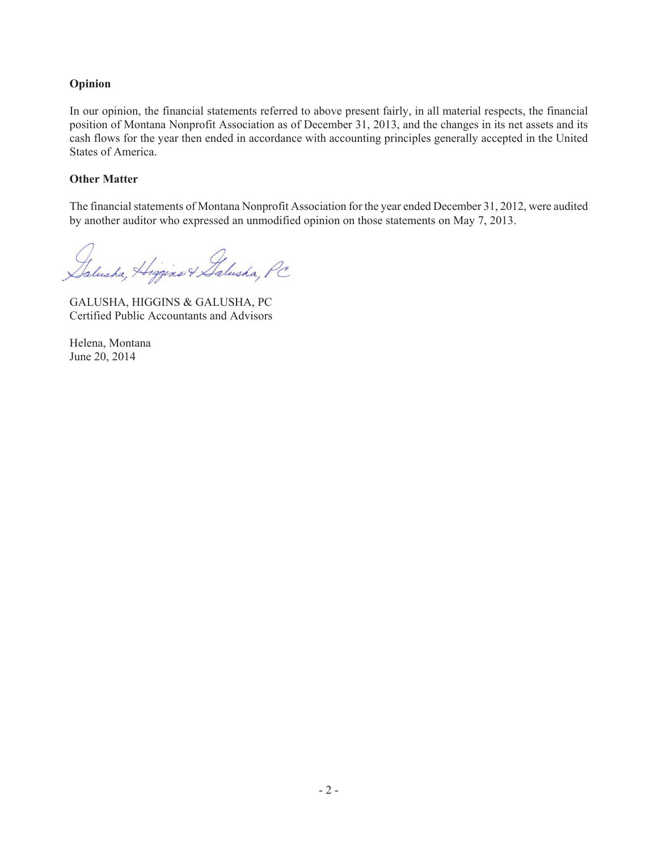### **Opinion**

In our opinion, the financial statements referred to above present fairly, in all material respects, the financial position of Montana Nonprofit Association as of December 31, 2013, and the changes in its net assets and its cash flows for the year then ended in accordance with accounting principles generally accepted in the United States of America.

### **Other Matter**

The financial statements of Montana Nonprofit Association for the year ended December 31, 2012, were audited by another auditor who expressed an unmodified opinion on those statements on May 7, 2013.

Dalusha, Higgins & Galusha, PC

GALUSHA, HIGGINS & GALUSHA, PC Certified Public Accountants and Advisors

Helena, Montana June 20, 2014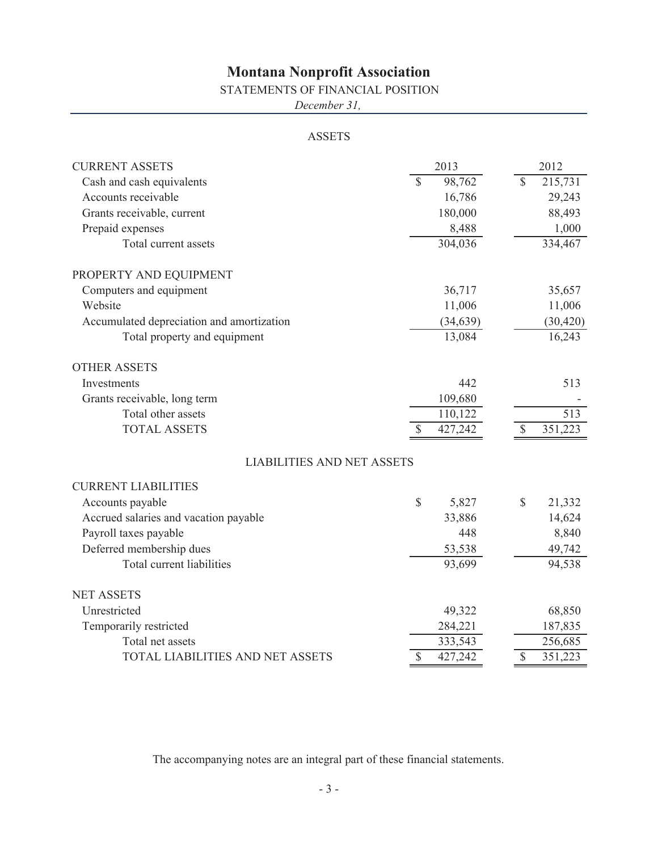### STATEMENTS OF FINANCIAL POSITION

*December 31,*

### ASSETS

| <b>CURRENT ASSETS</b>                     |              | 2013      |               | 2012      |
|-------------------------------------------|--------------|-----------|---------------|-----------|
| Cash and cash equivalents                 | $\mathbb{S}$ | 98,762    | $\mathbf S$   | 215,731   |
| Accounts receivable                       |              | 16,786    |               | 29,243    |
| Grants receivable, current                |              | 180,000   |               | 88,493    |
| Prepaid expenses                          |              | 8,488     |               | 1,000     |
| Total current assets                      |              | 304,036   |               | 334,467   |
| PROPERTY AND EQUIPMENT                    |              |           |               |           |
| Computers and equipment                   |              | 36,717    |               | 35,657    |
| Website                                   |              | 11,006    |               | 11,006    |
| Accumulated depreciation and amortization |              | (34, 639) |               | (30, 420) |
| Total property and equipment              |              | 13,084    |               | 16,243    |
| <b>OTHER ASSETS</b>                       |              |           |               |           |
| Investments                               |              | 442       |               | 513       |
| Grants receivable, long term              |              | 109,680   |               |           |
| Total other assets                        |              | 110,122   |               | 513       |
| <b>TOTAL ASSETS</b>                       | S            | 427,242   | \$            | 351,223   |
| <b>LIABILITIES AND NET ASSETS</b>         |              |           |               |           |
| <b>CURRENT LIABILITIES</b>                |              |           |               |           |
| Accounts payable                          | \$           | 5,827     | \$            | 21,332    |
| Accrued salaries and vacation payable     |              | 33,886    |               | 14,624    |
| Payroll taxes payable                     |              | 448       |               | 8,840     |
| Deferred membership dues                  |              | 53,538    |               | 49,742    |
| Total current liabilities                 |              | 93,699    |               | 94,538    |
| <b>NET ASSETS</b>                         |              |           |               |           |
| Unrestricted                              |              | 49,322    |               | 68,850    |
| Temporarily restricted                    |              | 284,221   |               | 187,835   |
| Total net assets                          |              | 333,543   |               | 256,685   |
| TOTAL LIABILITIES AND NET ASSETS          | \$           | 427,242   | $\mathcal{S}$ | 351,223   |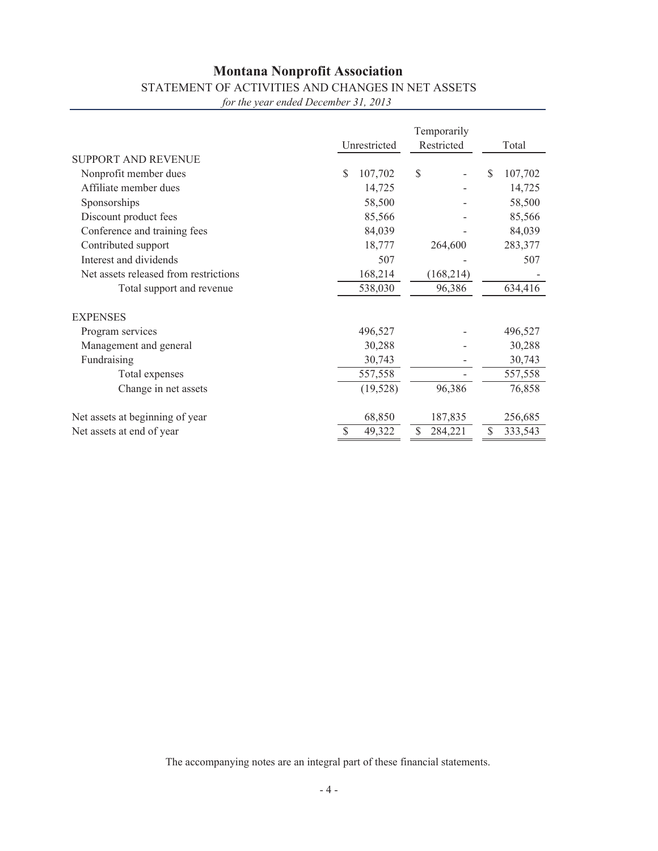## STATEMENT OF ACTIVITIES AND CHANGES IN NET ASSETS

*for the year ended December 31, 2013*

|                                       | Unrestricted  | Restricted    | Total         |  |
|---------------------------------------|---------------|---------------|---------------|--|
| <b>SUPPORT AND REVENUE</b>            |               |               |               |  |
| Nonprofit member dues                 | \$<br>107,702 | \$            | 107,702<br>S  |  |
| Affiliate member dues                 | 14,725        |               | 14,725        |  |
| Sponsorships                          | 58,500        |               | 58,500        |  |
| Discount product fees                 | 85,566        |               | 85,566        |  |
| Conference and training fees          | 84,039        |               | 84,039        |  |
| Contributed support                   | 18,777        | 264,600       | 283,377       |  |
| Interest and dividends                | 507           |               | 507           |  |
| Net assets released from restrictions | 168,214       | (168, 214)    |               |  |
| Total support and revenue             | 538,030       | 96,386        | 634,416       |  |
| <b>EXPENSES</b>                       |               |               |               |  |
| Program services                      | 496,527       |               | 496,527       |  |
| Management and general                | 30,288        |               | 30,288        |  |
| Fundraising                           | 30,743        |               | 30,743        |  |
| Total expenses                        | 557,558       |               | 557,558       |  |
| Change in net assets                  | (19, 528)     | 96,386        | 76,858        |  |
| Net assets at beginning of year       | 68,850        | 187,835       | 256,685       |  |
| Net assets at end of year             | 49,322        | \$<br>284,221 | \$<br>333,543 |  |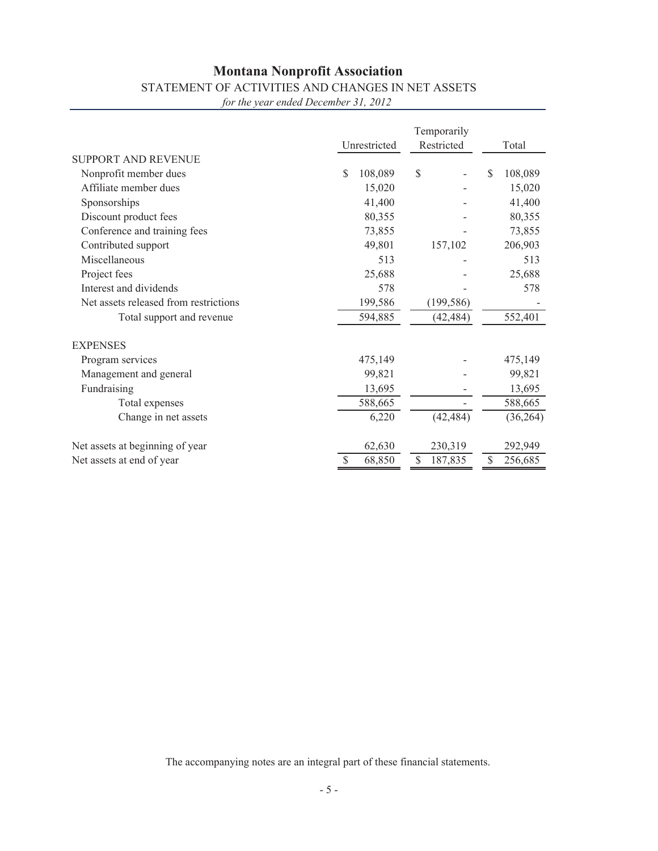## STATEMENT OF ACTIVITIES AND CHANGES IN NET ASSETS

*for the year ended December 31, 2012*

|                                       | Unrestricted          | Total         |               |  |
|---------------------------------------|-----------------------|---------------|---------------|--|
| <b>SUPPORT AND REVENUE</b>            |                       | Restricted    |               |  |
| Nonprofit member dues                 | \$<br>108,089         | \$            | \$<br>108,089 |  |
| Affiliate member dues                 | 15,020                |               | 15,020        |  |
| Sponsorships                          | 41,400                |               | 41,400        |  |
| Discount product fees                 | 80,355                |               | 80,355        |  |
| Conference and training fees          | 73,855                |               | 73,855        |  |
| Contributed support                   | 49,801                | 157,102       | 206,903       |  |
| Miscellaneous                         | 513                   |               | 513           |  |
| Project fees                          | 25,688                |               | 25,688        |  |
| Interest and dividends                | 578                   |               | 578           |  |
| Net assets released from restrictions | 199,586<br>(199, 586) |               |               |  |
| Total support and revenue             | 594,885               | (42, 484)     | 552,401       |  |
| <b>EXPENSES</b>                       |                       |               |               |  |
| Program services                      | 475,149               |               | 475,149       |  |
| Management and general                | 99,821                |               | 99,821        |  |
| Fundraising                           | 13,695                |               | 13,695        |  |
| Total expenses                        | 588,665               |               | 588,665       |  |
| Change in net assets                  | 6,220                 | (42, 484)     | (36, 264)     |  |
| Net assets at beginning of year       | 62,630                | 230,319       | 292,949       |  |
| Net assets at end of year             | \$<br>68,850          | \$<br>187,835 | \$<br>256,685 |  |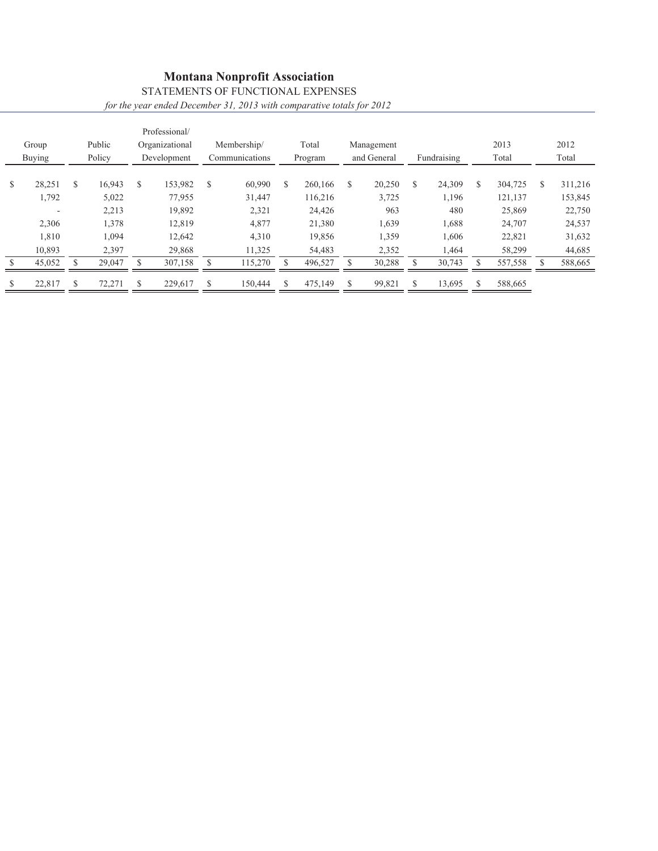### STATEMENTS OF FUNCTIONAL EXPENSES *for the year ended December 31, 2013 with comparative totals for 2012*

|   | Group<br><b>Buying</b> | Public<br>Policy | Professional/<br>Organizational<br>Development |   | Membership/<br>Communications | Total<br>Program |   | Management<br>and General | Fundraising  | 2013<br>Total |   | 2012<br>Total |
|---|------------------------|------------------|------------------------------------------------|---|-------------------------------|------------------|---|---------------------------|--------------|---------------|---|---------------|
|   |                        |                  |                                                |   |                               |                  |   |                           |              |               |   |               |
| S | 28,251                 | \$<br>16.943     | \$<br>153,982                                  | S | 60,990                        | \$<br>260,166    | S | 20,250                    | \$<br>24,309 | \$<br>304,725 | S | 311,216       |
|   | 1,792                  | 5,022            | 77,955                                         |   | 31,447                        | 116,216          |   | 3,725                     | 1,196        | 121,137       |   | 153,845       |
|   |                        | 2,213            | 19,892                                         |   | 2,321                         | 24,426           |   | 963                       | 480          | 25,869        |   | 22,750        |
|   | 2,306                  | 1,378            | 12,819                                         |   | 4,877                         | 21,380           |   | 1,639                     | 1,688        | 24,707        |   | 24,537        |
|   | 1,810                  | 1,094            | 12,642                                         |   | 4,310                         | 19,856           |   | 1,359                     | 1,606        | 22,821        |   | 31,632        |
|   | 10,893                 | 2,397            | 29,868                                         |   | 11,325                        | 54,483           |   | 2,352                     | 1,464        | 58,299        |   | 44,685        |
|   | 45,052                 | 29,047           | 307,158                                        |   | 115,270                       | 496,527          |   | 30,288                    | 30,743       | 557,558       |   | 588,665       |
| S | 22,817                 | 72,271           | 229,617                                        | S | 150,444                       | 475,149          |   | 99,821                    | 13,695       | 588,665       |   |               |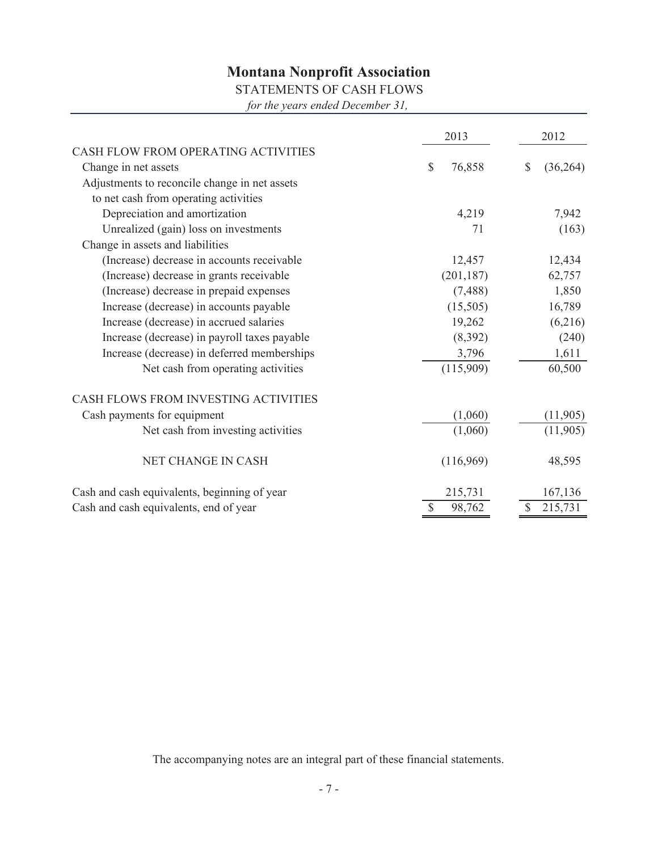### STATEMENTS OF CASH FLOWS

*for the years ended December 31,*

|                                               | 2013         | 2012            |  |  |  |
|-----------------------------------------------|--------------|-----------------|--|--|--|
| CASH FLOW FROM OPERATING ACTIVITIES           |              |                 |  |  |  |
| Change in net assets                          | \$<br>76,858 | \$<br>(36, 264) |  |  |  |
| Adjustments to reconcile change in net assets |              |                 |  |  |  |
| to net cash from operating activities         |              |                 |  |  |  |
| Depreciation and amortization                 | 4,219        | 7,942           |  |  |  |
| Unrealized (gain) loss on investments         | 71           | (163)           |  |  |  |
| Change in assets and liabilities              |              |                 |  |  |  |
| (Increase) decrease in accounts receivable    | 12,457       | 12,434          |  |  |  |
| (Increase) decrease in grants receivable      | (201, 187)   | 62,757          |  |  |  |
| (Increase) decrease in prepaid expenses       | (7, 488)     | 1,850           |  |  |  |
| Increase (decrease) in accounts payable       | (15,505)     | 16,789          |  |  |  |
| Increase (decrease) in accrued salaries       | 19,262       | (6,216)         |  |  |  |
| Increase (decrease) in payroll taxes payable  | (8,392)      | (240)           |  |  |  |
| Increase (decrease) in deferred memberships   | 3,796        | 1,611           |  |  |  |
| Net cash from operating activities            | (115,909)    | 60,500          |  |  |  |
| CASH FLOWS FROM INVESTING ACTIVITIES          |              |                 |  |  |  |
| Cash payments for equipment                   | (1,060)      | (11,905)        |  |  |  |
| Net cash from investing activities            | (1,060)      | (11,905)        |  |  |  |
| <b>NET CHANGE IN CASH</b>                     | (116,969)    | 48,595          |  |  |  |
| Cash and cash equivalents, beginning of year  | 215,731      | 167,136         |  |  |  |
| Cash and cash equivalents, end of year        | 98,762<br>\$ | 215,731         |  |  |  |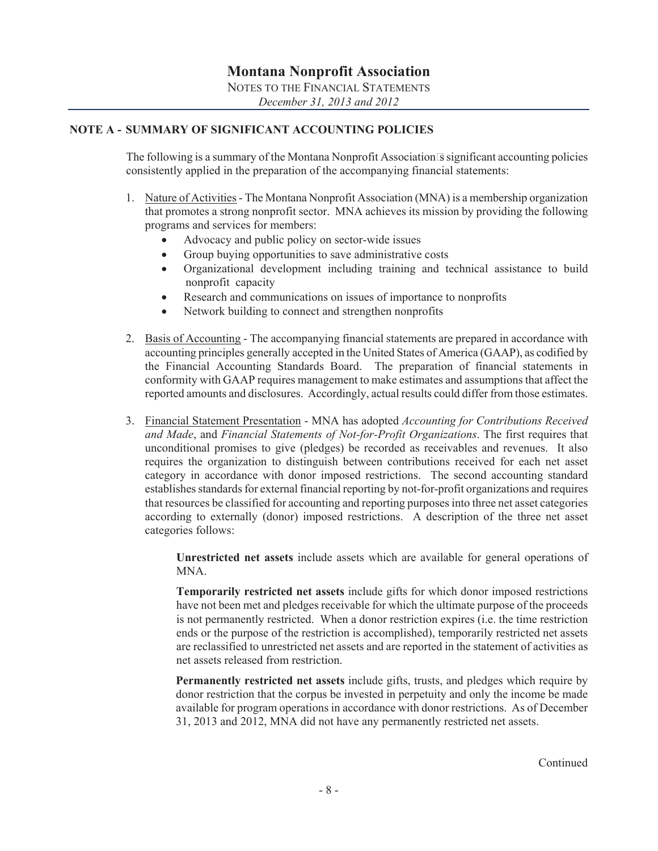### **NOTE A - SUMMARY OF SIGNIFICANT ACCOUNTING POLICIES**

The following is a summary of the Montana Nonprofit Association's significant accounting policies consistently applied in the preparation of the accompanying financial statements:

- 1. Nature of Activities The Montana Nonprofit Association (MNA) is a membership organization that promotes a strong nonprofit sector. MNA achieves its mission by providing the following programs and services for members:
	- Advocacy and public policy on sector-wide issues
	- Group buying opportunities to save administrative costs
	- Organizational development including training and technical assistance to build nonprofit capacity
	- Research and communications on issues of importance to nonprofits
	- Network building to connect and strengthen nonprofits
- 2. Basis of Accounting The accompanying financial statements are prepared in accordance with accounting principles generally accepted in the United States of America (GAAP), as codified by the Financial Accounting Standards Board. The preparation of financial statements in conformity with GAAP requires management to make estimates and assumptions that affect the reported amounts and disclosures. Accordingly, actual results could differ from those estimates.
- 3. Financial Statement Presentation MNA has adopted *Accounting for Contributions Received and Made*, and *Financial Statements of Not-for-Profit Organizations*. The first requires that unconditional promises to give (pledges) be recorded as receivables and revenues. It also requires the organization to distinguish between contributions received for each net asset category in accordance with donor imposed restrictions. The second accounting standard establishes standards for external financial reporting by not-for-profit organizations and requires that resources be classified for accounting and reporting purposes into three net asset categories according to externally (donor) imposed restrictions. A description of the three net asset categories follows:

**Unrestricted net assets** include assets which are available for general operations of MNA.

**Temporarily restricted net assets** include gifts for which donor imposed restrictions have not been met and pledges receivable for which the ultimate purpose of the proceeds is not permanently restricted. When a donor restriction expires (i.e. the time restriction ends or the purpose of the restriction is accomplished), temporarily restricted net assets are reclassified to unrestricted net assets and are reported in the statement of activities as net assets released from restriction.

**Permanently restricted net assets** include gifts, trusts, and pledges which require by donor restriction that the corpus be invested in perpetuity and only the income be made available for program operations in accordance with donor restrictions. As of December 31, 2013 and 2012, MNA did not have any permanently restricted net assets.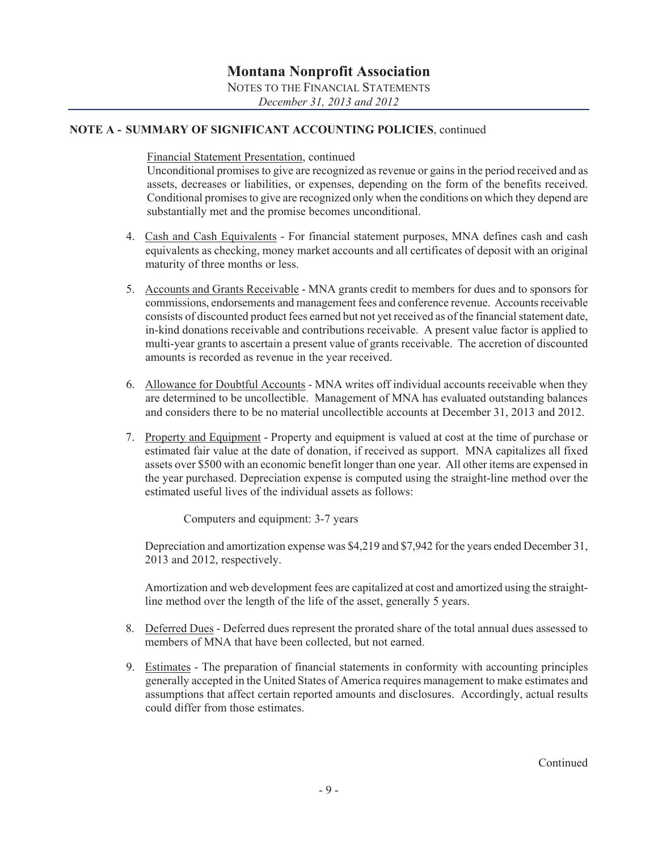### **NOTE A - SUMMARY OF SIGNIFICANT ACCOUNTING POLICIES**, continued

Financial Statement Presentation, continued

Unconditional promises to give are recognized as revenue or gains in the period received and as assets, decreases or liabilities, or expenses, depending on the form of the benefits received. Conditional promises to give are recognized only when the conditions on which they depend are substantially met and the promise becomes unconditional.

- 4. Cash and Cash Equivalents For financial statement purposes, MNA defines cash and cash equivalents as checking, money market accounts and all certificates of deposit with an original maturity of three months or less.
- 5. Accounts and Grants Receivable MNA grants credit to members for dues and to sponsors for commissions, endorsements and management fees and conference revenue. Accounts receivable consists of discounted product fees earned but not yet received as of the financial statement date, in-kind donations receivable and contributions receivable. A present value factor is applied to multi-year grants to ascertain a present value of grants receivable. The accretion of discounted amounts is recorded as revenue in the year received.
- 6. Allowance for Doubtful Accounts MNA writes off individual accounts receivable when they are determined to be uncollectible. Management of MNA has evaluated outstanding balances and considers there to be no material uncollectible accounts at December 31, 2013 and 2012.
- 7. Property and Equipment Property and equipment is valued at cost at the time of purchase or estimated fair value at the date of donation, if received as support. MNA capitalizes all fixed assets over \$500 with an economic benefit longer than one year. All other items are expensed in the year purchased. Depreciation expense is computed using the straight-line method over the estimated useful lives of the individual assets as follows:

Computers and equipment: 3-7 years

 Depreciation and amortization expense was \$4,219 and \$7,942 for the years ended December 31, 2013 and 2012, respectively.

 Amortization and web development fees are capitalized at cost and amortized using the straightline method over the length of the life of the asset, generally 5 years.

- 8. Deferred Dues Deferred dues represent the prorated share of the total annual dues assessed to members of MNA that have been collected, but not earned.
- 9. Estimates The preparation of financial statements in conformity with accounting principles generally accepted in the United States of America requires management to make estimates and assumptions that affect certain reported amounts and disclosures. Accordingly, actual results could differ from those estimates.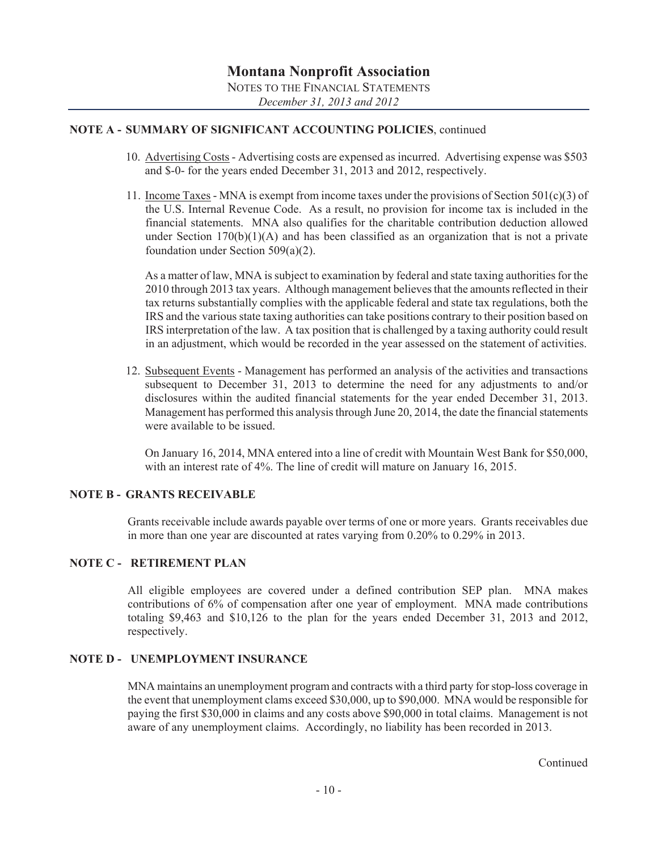### **NOTE A - SUMMARY OF SIGNIFICANT ACCOUNTING POLICIES**, continued

- 10. Advertising Costs Advertising costs are expensed as incurred. Advertising expense was \$503 and \$-0- for the years ended December 31, 2013 and 2012, respectively.
- 11. Income Taxes MNA is exempt from income taxes under the provisions of Section  $501(c)(3)$  of the U.S. Internal Revenue Code. As a result, no provision for income tax is included in the financial statements. MNA also qualifies for the charitable contribution deduction allowed under Section  $170(b)(1)(A)$  and has been classified as an organization that is not a private foundation under Section 509(a)(2).

 As a matter of law, MNA is subject to examination by federal and state taxing authorities for the 2010 through 2013 tax years. Although management believes that the amounts reflected in their tax returns substantially complies with the applicable federal and state tax regulations, both the IRS and the various state taxing authorities can take positions contrary to their position based on IRS interpretation of the law. A tax position that is challenged by a taxing authority could result in an adjustment, which would be recorded in the year assessed on the statement of activities.

12. Subsequent Events - Management has performed an analysis of the activities and transactions subsequent to December 31, 2013 to determine the need for any adjustments to and/or disclosures within the audited financial statements for the year ended December 31, 2013. Management has performed this analysis through June 20, 2014, the date the financial statements were available to be issued.

 On January 16, 2014, MNA entered into a line of credit with Mountain West Bank for \$50,000, with an interest rate of 4%. The line of credit will mature on January 16, 2015.

#### **NOTE B - GRANTS RECEIVABLE**

Grants receivable include awards payable over terms of one or more years. Grants receivables due in more than one year are discounted at rates varying from 0.20% to 0.29% in 2013.

#### **NOTE C - RETIREMENT PLAN**

All eligible employees are covered under a defined contribution SEP plan. MNA makes contributions of 6% of compensation after one year of employment. MNA made contributions totaling \$9,463 and \$10,126 to the plan for the years ended December 31, 2013 and 2012, respectively.

#### **NOTE D - IINEMPLOYMENT INSURANCE**

MNA maintains an unemployment program and contracts with a third party for stop-loss coverage in the event that unemployment clams exceed \$30,000, up to \$90,000. MNA would be responsible for paying the first \$30,000 in claims and any costs above \$90,000 in total claims. Management is not aware of any unemployment claims. Accordingly, no liability has been recorded in 2013.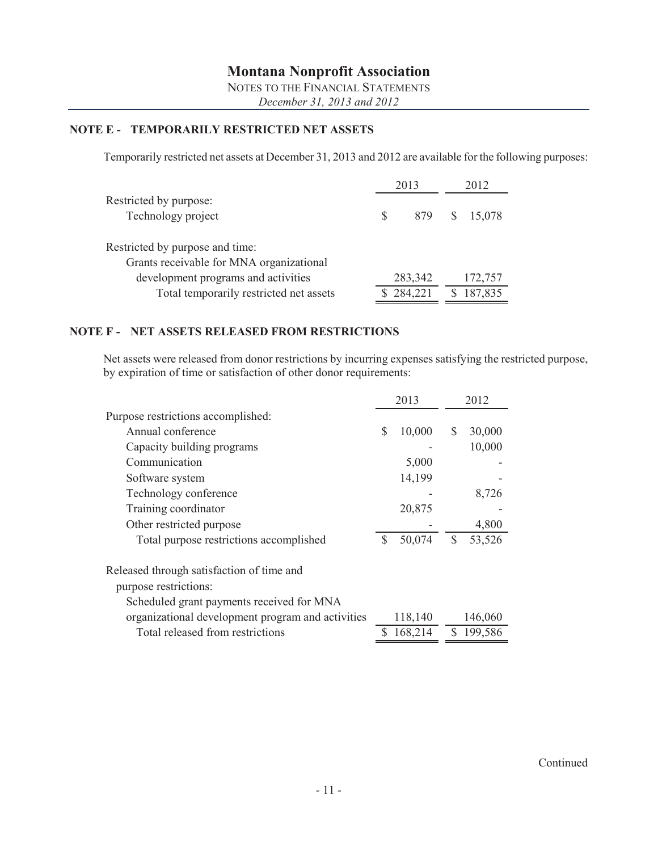### **NOTE E - TEMPORARILY RESTRICTED NET ASSETS**

Temporarily restricted net assets at December 31, 2013 and 2012 are available for the following purposes:

|                                                                             |     | 2013    |   | 2012    |
|-----------------------------------------------------------------------------|-----|---------|---|---------|
| Restricted by purpose:<br>Technology project                                | \$. | 879     | S | 15,078  |
| Restricted by purpose and time:<br>Grants receivable for MNA organizational |     |         |   |         |
| development programs and activities                                         |     | 283,342 |   | 172,757 |
| Total temporarily restricted net assets                                     |     | 284,221 |   | 187,835 |

### **NOTE F - NET ASSETS RELEASED FROM RESTRICTIONS**

Net assets were released from donor restrictions by incurring expenses satisfying the restricted purpose, by expiration of time or satisfaction of other donor requirements:

|                                                                                                                 | 2013         | 2012 |         |  |
|-----------------------------------------------------------------------------------------------------------------|--------------|------|---------|--|
| Purpose restrictions accomplished:                                                                              |              |      |         |  |
| Annual conference                                                                                               | \$<br>10,000 | \$   | 30,000  |  |
| Capacity building programs                                                                                      |              |      | 10,000  |  |
| Communication                                                                                                   | 5,000        |      |         |  |
| Software system                                                                                                 | 14,199       |      |         |  |
| Technology conference                                                                                           |              |      | 8,726   |  |
| Training coordinator                                                                                            | 20,875       |      |         |  |
| Other restricted purpose                                                                                        |              |      | 4,800   |  |
| Total purpose restrictions accomplished                                                                         | \$<br>50,074 | \$   | 53,526  |  |
| Released through satisfaction of time and<br>purpose restrictions:<br>Scheduled grant payments received for MNA |              |      |         |  |
| organizational development program and activities                                                               | 118,140      |      | 146,060 |  |
| Total released from restrictions                                                                                | 168,214      | S.   | 199,586 |  |
|                                                                                                                 |              |      |         |  |